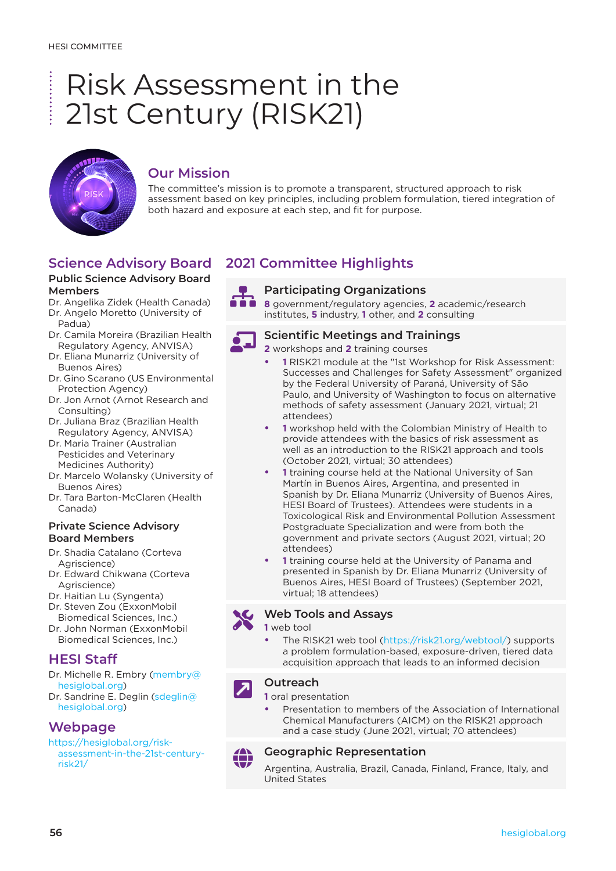# Risk Assessment in the **.** . . . . . . . . . . 21st Century (RISK21)



# **Our Mission**

The committee's mission is to promote a transparent, structured approach to risk assessment based on key principles, including problem formulation, tiered integration of both hazard and exposure at each step, and fit for purpose.

# **Science Advisory Board**

### **Public Science Advisory Board Members**

Dr. Angelika Zidek (Health Canada) Dr. Angelo Moretto (University of Padua)

- Dr. Camila Moreira (Brazilian Health Regulatory Agency, ANVISA)
- Dr. Eliana Munarriz (University of Buenos Aires)
- Dr. Gino Scarano (US Environmental Protection Agency)
- Dr. Jon Arnot (Arnot Research and Consulting)
- Dr. Juliana Braz (Brazilian Health Regulatory Agency, ANVISA)
- Dr. Maria Trainer (Australian Pesticides and Veterinary Medicines Authority)
- Dr. Marcelo Wolansky (University of Buenos Aires)
- Dr. Tara Barton-McClaren (Health Canada)

### **Private Science Advisory Board Members**

- Dr. Shadia Catalano (Corteva Agriscience)
- Dr. Edward Chikwana (Corteva Agriscience)
- Dr. Haitian Lu (Syngenta)
- Dr. Steven Zou (ExxonMobil Biomedical Sciences, Inc.)
- Dr. John Norman (ExxonMobil Biomedical Sciences, Inc.)

# **HESI Staff**

Dr. Michelle R. Embry (membry@ hesiglobal.org) Dr. Sandrine E. Deglin (sdeglin@

hesiglobal.org)

## **Webpage**

[https://hesiglobal.org/risk](https://hesiglobal.org/risk-assessment-in-the-21st-century-risk21/)[assessment-in-the-21st-century](https://hesiglobal.org/risk-assessment-in-the-21st-century-risk21/)[risk21/](https://hesiglobal.org/risk-assessment-in-the-21st-century-risk21/)

# **2021 Committee Highlights**



**Participating Organizations**<br>**8 8** government/regulatory agencies, **2** academic/research institutes, **5** industry, **1** other, and **2** consulting



## **Scientific Meetings and Trainings**

**2** workshops and **2** training courses

- **• 1** RISK21 module at the "1st Workshop for Risk Assessment: Successes and Challenges for Safety Assessment" organized by the Federal University of Paraná, University of São Paulo, and University of Washington to focus on alternative methods of safety assessment (January 2021, virtual; 21 attendees)
- **• 1** workshop held with the Colombian Ministry of Health to provide attendees with the basics of risk assessment as well as an introduction to the RISK21 approach and tools (October 2021, virtual; 30 attendees)
- **• 1** training course held at the National University of San Martín in Buenos Aires, Argentina, and presented in Spanish by Dr. Eliana Munarriz (University of Buenos Aires, HESI Board of Trustees). Attendees were students in a Toxicological Risk and Environmental Pollution Assessment Postgraduate Specialization and were from both the government and private sectors (August 2021, virtual; 20 attendees)
- **• 1** training course held at the University of Panama and presented in Spanish by Dr. Eliana Munarriz (University of Buenos Aires, HESI Board of Trustees) (September 2021, virtual; 18 attendees)

## **Web Tools and Assays**

**1** web tool

**•** The RISK21 web tool (<https://risk21.org/webtool/>) supports a problem formulation-based, exposure-driven, tiered data acquisition approach that leads to an informed decision

### **Outreach**

**1** oral presentation

**•** Presentation to members of the Association of International Chemical Manufacturers (AICM) on the RISK21 approach and a case study (June 2021, virtual; 70 attendees)

# **Geographic Representation**

Argentina, Australia, Brazil, Canada, Finland, France, Italy, and United States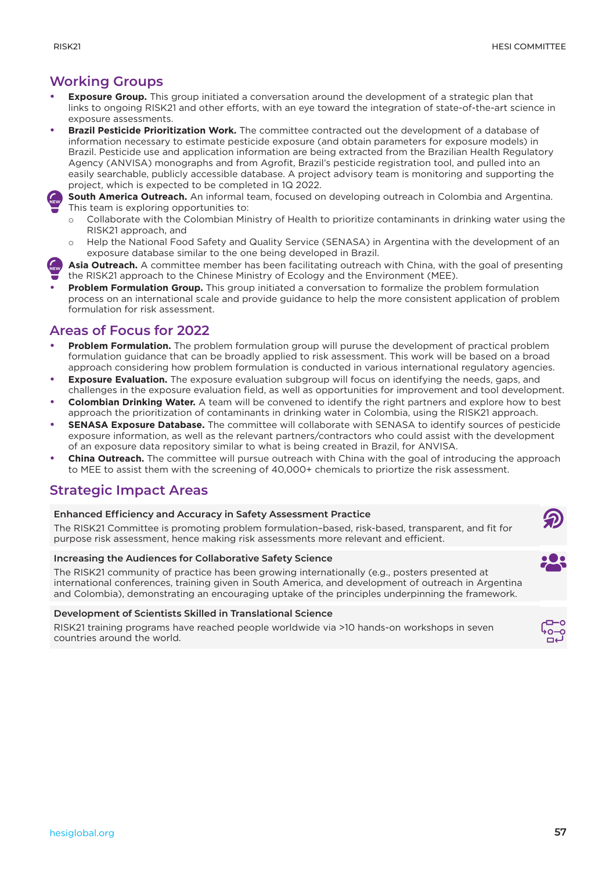# **Working Groups**

- **• Exposure Group.** This group initiated a conversation around the development of a strategic plan that links to ongoing RISK21 and other efforts, with an eye toward the integration of state-of-the-art science in exposure assessments.
- **• Brazil Pesticide Prioritization Work.** The committee contracted out the development of a database of information necessary to estimate pesticide exposure (and obtain parameters for exposure models) in Brazil. Pesticide use and application information are being extracted from the Brazilian Health Regulatory Agency (ANVISA) monographs and from Agrofit, Brazil's pesticide registration tool, and pulled into an easily searchable, publicly accessible database. A project advisory team is monitoring and supporting the project, which is expected to be completed in 1Q 2022.



**South America Outreach.** An informal team, focused on developing outreach in Colombia and Argentina. This team is exploring opportunities to:

- Collaborate with the Colombian Ministry of Health to prioritize contaminants in drinking water using the RISK21 approach, and
- Help the National Food Safety and Quality Service (SENASA) in Argentina with the development of an exposure database similar to the one being developed in Brazil.
- Asia Outreach. A committee member has been facilitating outreach with China, with the goal of presenting the RISK21 approach to the Chinese Ministry of Ecology and the Environment (MEE). light **NEW**
- **• Problem Formulation Group.** This group initiated a conversation to formalize the problem formulation process on an international scale and provide guidance to help the more consistent application of problem formulation for risk assessment.

# **Areas of Focus for 2022**

- **• Problem Formulation.** The problem formulation group will puruse the development of practical problem formulation guidance that can be broadly applied to risk assessment. This work will be based on a broad approach considering how problem formulation is conducted in various international regulatory agencies.
- **Exposure Evaluation.** The exposure evaluation subgroup will focus on identifying the needs, gaps, and challenges in the exposure evaluation field, as well as opportunities for improvement and tool development.
- **• Colombian Drinking Water.** A team will be convened to identify the right partners and explore how to best approach the prioritization of contaminants in drinking water in Colombia, using the RISK21 approach.
- **• SENASA Exposure Database.** The committee will collaborate with SENASA to identify sources of pesticide exposure information, as well as the relevant partners/contractors who could assist with the development of an exposure data repository similar to what is being created in Brazil, for ANVISA.
- **• China Outreach.** The committee will pursue outreach with China with the goal of introducing the approach to MEE to assist them with the screening of 40,000+ chemicals to priortize the risk assessment.

# **Strategic Impact Areas**

## **Enhanced Efficiency and Accuracy in Safety Assessment Practice**

The RISK21 Committee is promoting problem formulation–based, risk-based, transparent, and fit for purpose risk assessment, hence making risk assessments more relevant and efficient.

## **Increasing the Audiences for Collaborative Safety Science**

The RISK21 community of practice has been growing internationally (e.g., posters presented at international conferences, training given in South America, and development of outreach in Argentina and Colombia), demonstrating an encouraging uptake of the principles underpinning the framework.

### **Development of Scientists Skilled in Translational Science**

RISK21 training programs have reached people worldwide via >10 hands-on workshops in seven countries around the world.



 $\circledR$ 

i<mark>e</mark>: